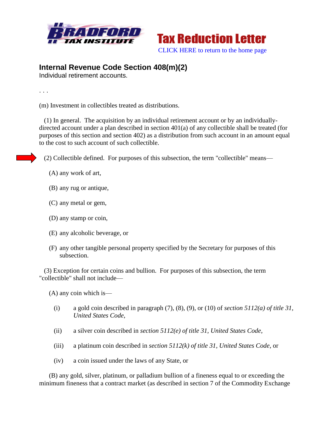



## **Internal Revenue Code Section 408(m)(2)**

Individual retirement accounts.

. . .

(m) Investment in collectibles treated as distributions.

 (1) In general. The acquisition by an individual retirement account or by an individuallydirected account under a plan described in section 401(a) of any collectible shall be treated (for purposes of this section and section 402) as a distribution from such account in an amount equal to the cost to such account of such collectible.

(2) Collectible defined. For purposes of this subsection, the term "collectible" means—

- (A) any work of art,
- (B) any rug or antique,
- (C) any metal or gem,
- (D) any stamp or coin,
- (E) any alcoholic beverage, or
- (F) any other tangible personal property specified by the Secretary for purposes of this subsection.

 (3) Exception for certain coins and bullion. For purposes of this subsection, the term "collectible" shall not include—

(A) any coin which is—

- (i) a gold coin described in paragraph (7), (8), (9), or (10) of *section 5112(a) of title 31, United States Code*,
- (ii) a silver coin described in *section 5112(e) of title 31, United States Code*,
- (iii) a platinum coin described in *section 5112(k) of title 31, United States Code*, or
- (iv) a coin issued under the laws of any State, or

 (B) any gold, silver, platinum, or palladium bullion of a fineness equal to or exceeding the minimum fineness that a contract market (as described in section 7 of the Commodity Exchange